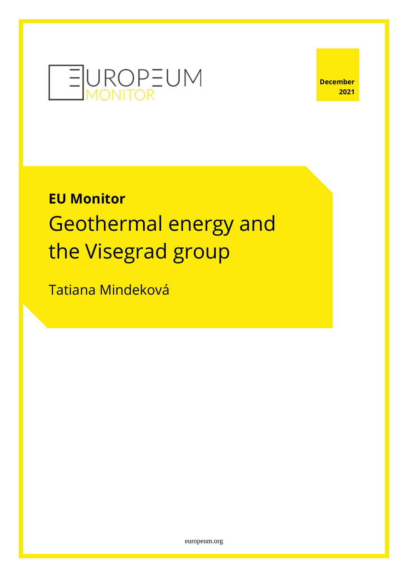

# **EU Monitor** Geothermal energy and the Visegrad group

Tatiana Mindeková

[europeum.org](https://europeum.org/)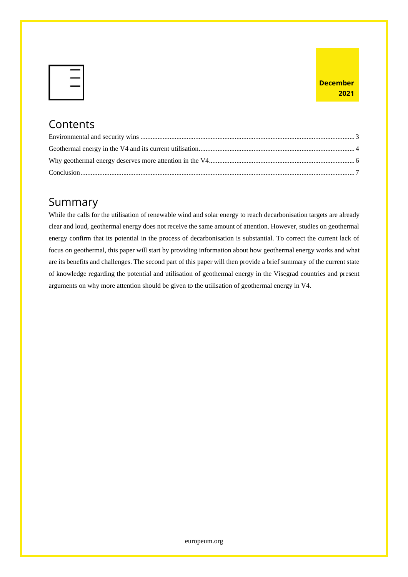#### **Contents**

#### Summary

While the calls for the utilisation of renewable wind and solar energy to reach decarbonisation targets are already clear and loud, geothermal energy does not receive the same amount of attention. However, studies on geothermal energy confirm that its potential in the process of decarbonisation is substantial. To correct the current lack of focus on geothermal, this paper will start by providing information about how geothermal energy works and what are its benefits and challenges. The second part of this paper will then provide a brief summary of the current state of knowledge regarding the potential and utilisation of geothermal energy in the Visegrad countries and present arguments on why more attention should be given to the utilisation of geothermal energy in V4.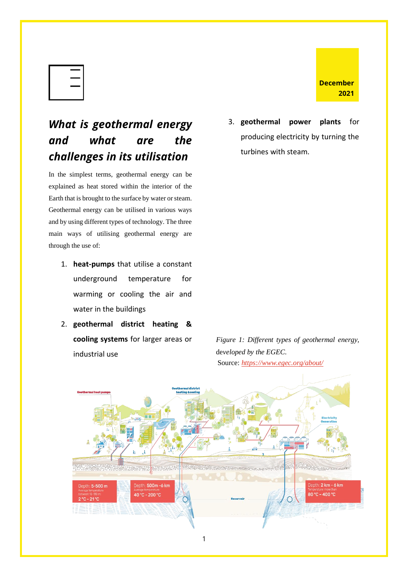# *What is geothermal energy and what are the challenges in its utilisation*

In the simplest terms, geothermal energy can be explained as heat stored within the interior of the Earth that is brought to the surface by water or steam. Geothermal energy can be utilised in various ways and by using different types of technology. The three main ways of utilising geothermal energy are through the use of:

- 1. **heat-pumps** that utilise a constant underground temperature for warming or cooling the air and water in the buildings
- 2. **geothermal district heating & cooling systems** for larger areas or industrial use

3. **geothermal power plants** for producing electricity by turning the turbines with steam.

**December**

**2021**

*Figure 1: Different types of geothermal energy,*  de*veloped by the EGEC.*  Source: *<https://www.egec.org/about/>*

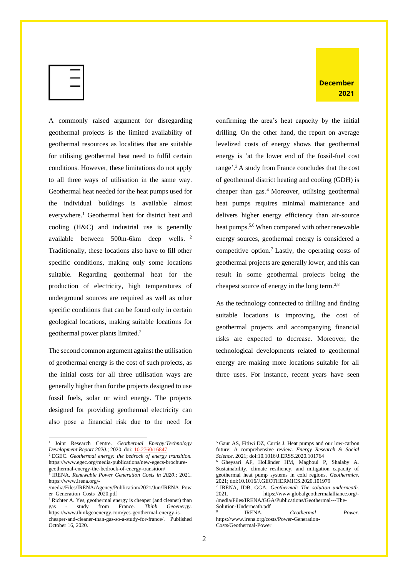A commonly raised argument for disregarding geothermal projects is the limited availability of geothermal resources as localities that are suitable for utilising geothermal heat need to fulfil certain conditions. However, these limitations do not apply to all three ways of utilisation in the same way. Geothermal heat needed for the heat pumps used for the individual buildings is available almost everywhere.<sup>1</sup> Geothermal heat for district heat and cooling (H&C) and industrial use is generally available between 500m-6km deep wells.<sup>2</sup> Traditionally, these locations also have to fill other specific conditions, making only some locations suitable. Regarding geothermal heat for the production of electricity, high temperatures of underground sources are required as well as other specific conditions that can be found only in certain geological locations, making suitable locations for geothermal power plants limited.<sup>2</sup>

The second common argument against the utilisation of geothermal energy is the cost of such projects, as the initial costs for all three utilisation ways are generally higher than for the projects designed to use fossil fuels, solar or wind energy. The projects designed for providing geothermal electricity can also pose a financial risk due to the need for confirming the area's heat capacity by the initial drilling. On the other hand, the report on average levelized costs of energy shows that geothermal energy is 'at the lower end of the fossil-fuel cost range'.<sup>3</sup> A study from France concludes that the cost of geothermal district heating and cooling (GDH) is cheaper than gas.<sup>4</sup> Moreover, utilising geothermal heat pumps requires minimal maintenance and delivers higher energy efficiency than air-source heat pumps.<sup>5,6</sup> When compared with other renewable energy sources, geothermal energy is considered a competitive option.<sup>7</sup> Lastly, the operating costs of geothermal projects are generally lower, and this can result in some geothermal projects being the

As the technology connected to drilling and finding suitable locations is improving, the cost of geothermal projects and accompanying financial risks are expected to decrease. Moreover, the technological developments related to geothermal energy are making more locations suitable for all three uses. For instance, recent years have seen

cheapest source of energy in the long term.<sup>2,8</sup>

<sup>1</sup> Joint Research Centre. *Geothermal Energy:Technology Development Report 2020.*; 2020. doi: [10.2760/16847](http://dx.doi.org/10.2760/16847)

<sup>2</sup> EGEC. *Geothermal energy: the bedrock of energy transition.* https://www.egec.org/media-publications/new-egecs-brochure-

geothermal-energy-the-bedrock-of-energy-transition/ 3 IRENA. *Renewable Power Generation Costs in 2020*.; 2021. https://www.irena.org/-

<sup>/</sup>media/Files/IRENA/Agency/Publication/2021/Jun/IRENA\_Pow er\_Generation\_Costs\_2020.pdf

<sup>4</sup> Richter A. Yes, geothermal energy is cheaper (and cleaner) than gas - study from France. *Think Geoenergy*. https://www.thinkgeoenergy.com/yes-geothermal-energy-ischeaper-and-cleaner-than-gas-so-a-study-for-france/. Published October 16, 2020.

<sup>5</sup> Gaur AS, Fitiwi DZ, Curtis J. Heat pumps and our low-carbon future: A comprehensive review. *Energy Research & Social Science*. 2021; doi:10.1016/J.ERSS.2020.101764

<sup>6</sup> Gheysari AF, Holländer HM, Maghoul P, Shalaby A. Sustainability, climate resiliency, and mitigation capacity of geothermal heat pump systems in cold regions. *Geothermics*. 2021; doi:10.1016/J.GEOTHERMICS.2020.101979

<sup>7</sup> IRENA, IDB, GGA. *Geothermal: The solution underneath.*  2021. https://www.globalgeothermalalliance.org/- /media/Files/IRENA/GGA/Publications/Geothermal---The-Solution-Underneath.pdf 8

IRENA, *Geothermal Power.*  https://www.irena.org/costs/Power-Generation-Costs/Geothermal-Power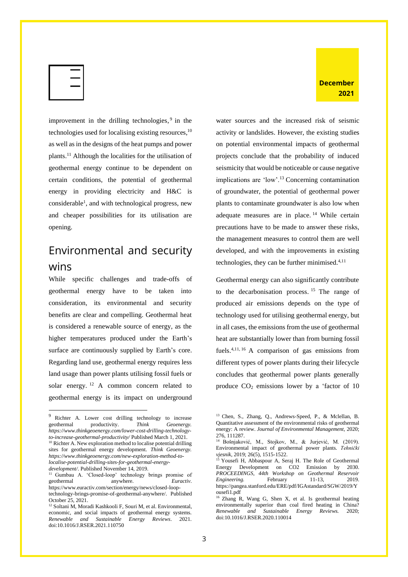

improvement in the drilling technologies,<sup>9</sup> in the technologies used for localising existing resources,<sup>10</sup> as well as in the designs of the heat pumps and power plants.<sup>11</sup> Although the localities for the utilisation of geothermal energy continue to be dependent on certain conditions, the potential of geothermal energy in providing electricity and H&C is considerable<sup>1</sup>, and with technological progress, new and cheaper possibilities for its utilisation are opening.

### <span id="page-4-0"></span>Environmental and security wins

While specific challenges and trade-offs of geothermal energy have to be taken into consideration, its environmental and security benefits are clear and compelling. Geothermal heat is considered a renewable source of energy, as the higher temperatures produced under the Earth's surface are continuously supplied by Earth's core. Regarding land use, geothermal energy requires less land usage than power plants utilising fossil fuels or solar energy.<sup>12</sup> A common concern related to geothermal energy is its impact on underground water sources and the increased risk of seismic activity or landslides. However, the existing studies on potential environmental impacts of geothermal projects conclude that the probability of induced seismicity that would be noticeable or cause negative implications are 'low'.<sup>13</sup> Concerning contamination of groundwater, the potential of geothermal power plants to contaminate groundwater is also low when adequate measures are in place.  $14$  While certain precautions have to be made to answer these risks, the management measures to control them are well developed, and with the improvements in existing technologies, they can be further minimised. 4,11

Geothermal energy can also significantly contribute to the decarbonisation process. <sup>15</sup> The range of produced air emissions depends on the type of technology used for utilising geothermal energy, but in all cases, the emissions from the use of geothermal heat are substantially lower than from burning fossil fuels.4,11, <sup>16</sup> A comparison of gas emissions from different types of power plants during their lifecycle concludes that geothermal power plants generally produce  $CO<sub>2</sub>$  emissions lower by a 'factor of 10

<sup>9</sup> Richter A. Lower cost drilling technology to increase geothermal productivity. *Think Geoenergy. https://www.thinkgeoenergy.com/lower-cost-drilling-technologyto-increase-geothermal-productivity/* Published March 1, 2021. <sup>10</sup> Richter A. New exploration method to localise potential drilling

sites for geothermal energy development. *Think Geoenergy. https://www.thinkgeoenergy.com/new-exploration-method-tolocalise-potential-drilling-sites-for-geothermal-energydevelopment/.* Published November 14, 2019.

<sup>&</sup>lt;sup>11</sup> Gumbau A. 'Closed-loop' technology brings promise of geothermal anywhere. *Euractiv*. https://www.euractiv.com/section/energy/news/closed-looptechnology-brings-promise-of-geothermal-anywhere/. Published October 25, 2021.

<sup>&</sup>lt;sup>12</sup> Soltani M, Moradi Kashkooli F, Souri M, et al. Environmental, economic, and social impacts of geothermal energy systems. *Renewable and Sustainable Energy Reviews*. 2021. doi:10.1016/J.RSER.2021.110750

<sup>13</sup> Chen, S., Zhang, Q., Andrews-Speed, P., & Mclellan, B. Quantitative assessment of the environmental risks of geothermal energy: A review. *Journal of Environmental Management,* 2020; 276, 111287.

<sup>14</sup> Bošnjaković, M., Stojkov, M., & Jurjević, M. (2019). Environmental impact of geothermal power plants. *Tehnički vjesnik*, 2019; 26(5), 1515-1522.

<sup>&</sup>lt;sup>15</sup> Yousefi H, Abbaspour A, Seraj H. The Role of Geothermal Energy Development on CO2 Emission by 2030. *PROCEEDINGS, 44th Workshop on Geothermal Reservoir Engineering.* February 11-13, 2019. https://pangea.stanford.edu/ERE/pdf/IGAstandard/SGW/2019/Y ousefi1.pdf

<sup>&</sup>lt;sup>16</sup> Zhang R, Wang G, Shen X, et al. Is geothermal heating environmentally superior than coal fired heating in China? *Renewable and Sustainable Energy Reviews.* 2020; doi:10.1016/J.RSER.2020.110014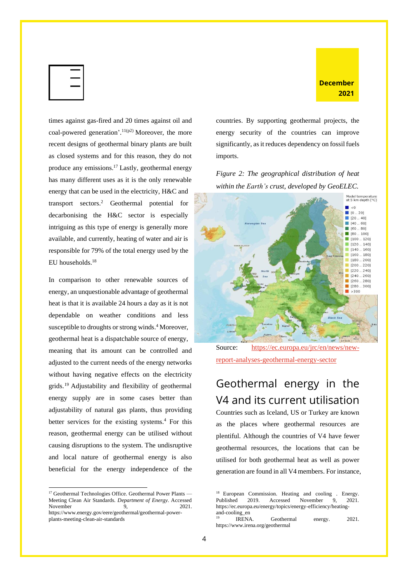

times against gas-fired and 20 times against oil and coal-powered generation'.<sup>11(p2)</sup> Moreover, the more recent designs of geothermal binary plants are built as closed systems and for this reason, they do not produce any emissions.<sup>17</sup> Lastly, geothermal energy has many different uses as it is the only renewable energy that can be used in the electricity, H&C and transport sectors. <sup>2</sup> Geothermal potential for decarbonising the H&C sector is especially intriguing as this type of energy is generally more available, and currently, heating of water and air is responsible for 79% of the total energy used by the EU households. 18

In comparison to other renewable sources of energy, an unquestionable advantage of geothermal heat is that it is available 24 hours a day as it is not dependable on weather conditions and less susceptible to droughts or strong winds. <sup>4</sup> Moreover, geothermal heat is a dispatchable source of energy, meaning that its amount can be controlled and adjusted to the current needs of the energy networks without having negative effects on the electricity grids.<sup>19</sup> Adjustability and flexibility of geothermal energy supply are in some cases better than adjustability of natural gas plants, thus providing better services for the existing systems.<sup>4</sup> For this reason, geothermal energy can be utilised without causing disruptions to the system. The undisruptive and local nature of geothermal energy is also beneficial for the energy independence of the countries. By supporting geothermal projects, the energy security of the countries can improve significantly, as it reduces dependency on fossil fuels imports.

**December 2021**

*Figure 2: The geographical distribution of heat within the Earth's crust, developed by GeoELEC.*



Source: [https://ec.europa.eu/jrc/en/news/new](https://ec.europa.eu/jrc/en/news/new-report-analyses-geothermal-energy-sector)[report-analyses-geothermal-energy-sector](https://ec.europa.eu/jrc/en/news/new-report-analyses-geothermal-energy-sector)

# <span id="page-5-0"></span>Geothermal energy in the V4 and its current utilisation

Countries such as Iceland, US or Turkey are known as the places where geothermal resources are plentiful. Although the countries of V4 have fewer geothermal resources, the locations that can be utilised for both geothermal heat as well as power generation are found in all V4 members. For instance,

<sup>&</sup>lt;sup>17</sup> Geothermal Technologies Office. Geothermal Power Plants — Meeting Clean Air Standards. *Department of Energy*. Accessed November 9, 2021. https://www.energy.gov/eere/geothermal/geothermal-powerplants-meeting-clean-air-standards

<sup>&</sup>lt;sup>18</sup> European Commission. Heating and cooling . Energy. Published 2019. Accessed November 9, 2021. https://ec.europa.eu/energy/topics/energy-efficiency/heatingand-cooling\_en

<sup>19</sup> IRENA. Geothermal energy. 2021. https://www.irena.org/geothermal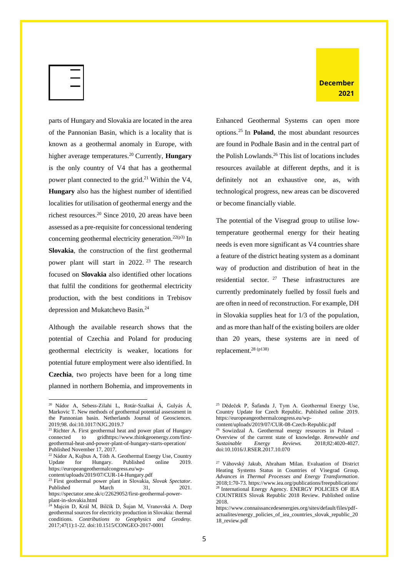

parts of Hungary and Slovakia are located in the area of the Pannonian Basin, which is a locality that is known as a geothermal anomaly in Europe, with higher average temperatures.<sup>20</sup> Currently, **Hungary** is the only country of V4 that has a geothermal power plant connected to the grid.<sup>21</sup> Within the V4, **Hungary** also has the highest number of identified localities for utilisation of geothermal energy and the richest resources.<sup>20</sup> Since 2010, 20 areas have been assessed as a pre-requisite for concessional tendering concerning geothermal electricity generation.<sup>22(p3)</sup> In **Slovakia**, the construction of the first geothermal power plant will start in 2022.<sup>23</sup> The research focused on **Slovakia** also identified other locations that fulfil the conditions for geothermal electricity production, with the best conditions in Trebisov depression and Mukatchevo Basin.<sup>24</sup>

Although the available research shows that the potential of Czechia and Poland for producing geothermal electricity is weaker, locations for potential future employment were also identified. In **Czechia**, two projects have been for a long time planned in northern Bohemia, and improvements in Enhanced Geothermal Systems can open more options.<sup>25</sup> In **Poland**, the most abundant resources are found in Podhale Basin and in the central part of the Polish Lowlands.<sup>26</sup> This list of locations includes resources available at different depths, and it is definitely not an exhaustive one, as, with technological progress, new areas can be discovered or become financially viable.

The potential of the Visegrad group to utilise lowtemperature geothermal energy for their heating needs is even more significant as V4 countries share a feature of the district heating system as a dominant way of production and distribution of heat in the residential sector. <sup>27</sup> These infrastructures are currently predominately fuelled by fossil fuels and are often in need of reconstruction. For example, DH in Slovakia supplies heat for 1/3 of the population, and as more than half of the existing boilers are older than 20 years, these systems are in need of replacement. 28 (p138)

content/uploads/2019/07/CUR-08-Czech-Republic.pdf

<sup>20</sup> Nádor A, Sebess-Zilahi L, Rotár-Szalkai Á, Gulyás Á, Markovic T. New methods of geothermal potential assessment in the Pannonian basin. Netherlands Journal of Geosciences. 2019;98. doi:10.1017/NJG.2019.7

<sup>&</sup>lt;sup>21</sup> Richter A. First geothermal heat and power plant of Hungary connected to gridhttps://www.thinkgeoenergy.com/firstgeothermal-heat-and-power-plant-of-hungary-starts-operation/ Published November 17, 2017.

<sup>22</sup> Nádor A, Kujbus A, Tóth A. Geothermal Energy Use, Country Update for Hungary. Published online 2019. https://europeangeothermalcongress.eu/wp-

content/uploads/2019/07/CUR-14-Hungary.pdf

<sup>23</sup> First geothermal power plant in Slovakia, *Slovak Spectator*. Published March 31, 2021. https://spectator.sme.sk/c/22629052/first-geothermal-powerplant-in-slovakia.html

<sup>24</sup> Majcin D, Král M, Bilčík D, Šujan M, Vranovská A. Deep geothermal sources for electricity production in Slovakia: thermal conditions. *Contributions to Geophysics and Geodesy.* 2017;47(1):1-22. doi:10.1515/CONGEO-2017-0001

<sup>25</sup> Dědeček P, Šafanda J, Tym A. Geothermal Energy Use, Country Update for Czech Republic. Published online 2019. https://europeangeothermalcongress.eu/wp-

<sup>&</sup>lt;sup>26</sup> Sowizdzal A. Geothermal energy resources in Poland -Overview of the current state of knowledge. *Renewable and Sustainable Energy Reviews.* 2018;82:4020-4027. doi:10.1016/J.RSER.2017.10.070

<sup>27</sup> Váhovský Jakub, Abraham Milan. Evaluation of District Heating Systems Status in Countries of Visegrad Group. *Advances in Thermal Processes and Energy Transformation*. 2018;1:70-73. https://www.iea.org/publications/freepublications/ <sup>28</sup> International Energy Agency. ENERGY POLICIES OF IEA COUNTRIES Slovak Republic 2018 Review. Published online 2018.

https://www.connaissancedesenergies.org/sites/default/files/pdfactualites/energy\_policies\_of\_iea\_countries\_slovak\_republic\_20 18\_review.pdf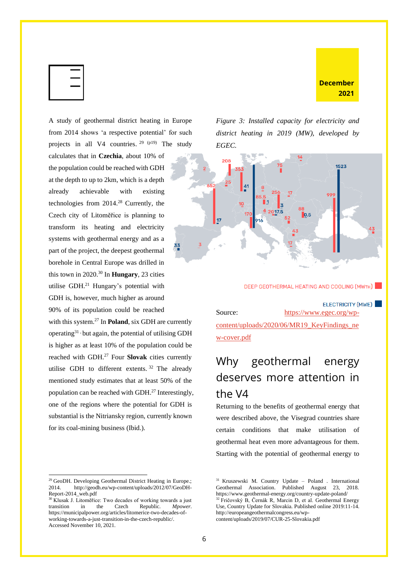

A study of geothermal district heating in Europe from 2014 shows 'a respective potential' for such projects in all V4 countries. <sup>29</sup> (p19) The study calculates that in **Czechia**, about 10% of the population could be reached with GDH at the depth to up to 2km, which is a depth already achievable with existing technologies from 2014.<sup>28</sup> Currently, the Czech city of Litoměřice is planning to transform its heating and electricity systems with geothermal energy and as a part of the project, the deepest geothermal borehole in Central Europe was drilled in this town in 2020.<sup>30</sup> In **Hungary**, 23 cities utilise GDH. <sup>21</sup> Hungary's potential with GDH is, however, much higher as around 90% of its population could be reached

with this system.<sup>27</sup> In **Poland**, six GDH are currently operating $31$ , but again, the potential of utilising GDH is higher as at least 10% of the population could be reached with GDH.<sup>27</sup> Four **Slovak** cities currently utilise GDH to different extents. <sup>32</sup> The already mentioned study estimates that at least 50% of the population can be reached with GDH. 27 Interestingly, one of the regions where the potential for GDH is substantial is the Nitriansky region, currently known for its coal-mining business (Ibid.).

<sup>29</sup> GeoDH. Developing Geothermal District Heating in Europe.; 2014. http://geodh.eu/wp-content/uploads/2012/07/GeoDH-Report-2014\_web.pdf

*Figure 3: Installed capacity for electricity and district heating in 2019 (MW), developed by EGEC.* 

**December 2021**



**DEEP GEOTHERMAL HEATING AND COOLING (MWTH)** 

ELECTRICITY (MWE) Source: [https://www.egec.org/wp](https://www.egec.org/wp-content/uploads/2020/06/MR19_KeyFindings_new-cover.pdf)content/uploads/2020/06/MR19 KeyFindings ne [w-cover.pdf](https://www.egec.org/wp-content/uploads/2020/06/MR19_KeyFindings_new-cover.pdf)

# <span id="page-7-0"></span>Why geothermal energy deserves more attention in the V4

Returning to the benefits of geothermal energy that were described above, the Visegrad countries share certain conditions that make utilisation of geothermal heat even more advantageous for them. Starting with the potential of geothermal energy to

 $30$  Klusak J. Litoměřice: Two decades of working towards a just transition in the Czech Republic. *Mpower*. https://municipalpower.org/articles/litomerice-two-decades-ofworking-towards-a-just-transition-in-the-czech-republic/. Accessed November 10, 2021.

<sup>31</sup> Kruszewski M. Country Update – Poland . International Geothermal Association. Published August 23, 2018. https://www.geothermal-energy.org/country-update-poland/

<sup>&</sup>lt;sup>32</sup> Fričovský B, Černák R, Marcin D, et al. Geothermal Energy Use, Country Update for Slovakia. Published online 2019:11-14. http://europeangeothermalcongress.eu/wpcontent/uploads/2019/07/CUR-25-Slovakia.pdf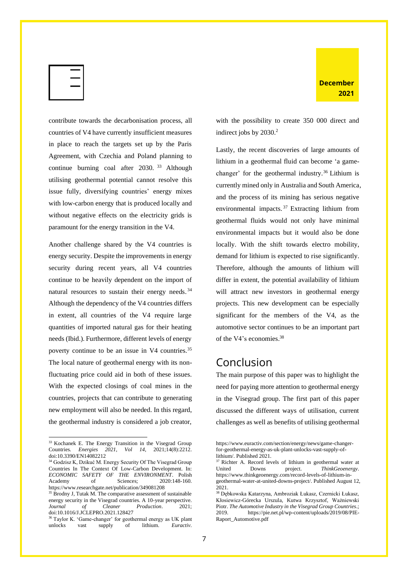

contribute towards the decarbonisation process, all countries of V4 have currently insufficient measures in place to reach the targets set up by the Paris Agreement, with Czechia and Poland planning to continue burning coal after 2030.<sup>33</sup> Although utilising geothermal potential cannot resolve this issue fully, diversifying countries' energy mixes with low-carbon energy that is produced locally and without negative effects on the electricity grids is paramount for the energy transition in the V4.

Another challenge shared by the V4 countries is energy security. Despite the improvements in energy security during recent years, all V4 countries continue to be heavily dependent on the import of natural resources to sustain their energy needs.<sup>34</sup> Although the dependency of the V4 countries differs in extent, all countries of the V4 require large quantities of imported natural gas for their heating needs (Ibid.). Furthermore, different levels of energy poverty continue to be an issue in V4 countries.<sup>35</sup> The local nature of geothermal energy with its nonfluctuating price could aid in both of these issues. With the expected closings of coal mines in the countries, projects that can contribute to generating new employment will also be needed. In this regard, the geothermal industry is considered a job creator,

with the possibility to create 350 000 direct and indirect jobs by 2030.<sup>2</sup>

Lastly, the recent discoveries of large amounts of lithium in a geothermal fluid can become 'a gamechanger' for the geothermal industry.<sup>36</sup> Lithium is currently mined only in Australia and South America, and the process of its mining has serious negative environmental impacts. <sup>37</sup> Extracting lithium from geothermal fluids would not only have minimal environmental impacts but it would also be done locally. With the shift towards electro mobility, demand for lithium is expected to rise significantly. Therefore, although the amounts of lithium will differ in extent, the potential availability of lithium will attract new investors in geothermal energy projects. This new development can be especially significant for the members of the V4, as the automotive sector continues to be an important part of the V4's economies.<sup>38</sup>

#### <span id="page-8-0"></span>Conclusion

The main purpose of this paper was to highlight the need for paying more attention to geothermal energy in the Visegrad group. The first part of this paper discussed the different ways of utilisation, current challenges as well as benefits of utilising geothermal

<sup>33</sup> Kochanek E. The Energy Transition in the Visegrad Group Countries. *Energies 2021, Vol 14,* 2021;14(8):2212. doi:10.3390/EN14082212

<sup>&</sup>lt;sup>34</sup> Godzisz K, Dzikuć M. Energy Security Of The Visegrad Group Countries In The Context Of Low-Carbon Development. In: *ECONOMIC SAFETY OF THE ENVIRONMENT*. Polish Academy of Sciences; 2020:148-160. https://www.researchgate.net/publication/349081208

<sup>&</sup>lt;sup>35</sup> Brodny J, Tutak M. The comparative assessment of sustainable energy security in the Visegrad countries. A 10-year perspective. *Journal of Cleaner Production*. 2021; doi:10.1016/J.JCLEPRO.2021.128427

<sup>&</sup>lt;sup>36</sup> Taylor K. 'Game-changer' for geothermal energy as UK plant unlocks vast supply of lithium. *Euractiv*.

https://www.euractiv.com/section/energy/news/game-changerfor-geothermal-energy-as-uk-plant-unlocks-vast-supply-oflithium/. Published 2021.

<sup>37</sup> Richter A. Record levels of lithium in geothermal water at United Downs project. *ThinkGeoenergy*. https://www.thinkgeoenergy.com/record-levels-of-lithium-ingeothermal-water-at-united-downs-project/. Published August 12, 2021.

<sup>38</sup> Dębkowska Katarzyna, Ambroziak Łukasz, Czernicki Łukasz, Kłosiewicz-Górecka Urszula, Kutwa Krzysztof, Ważniewski Piotr. *The Automotive Industry in the Visegrad Group Countries*.; 2019. https://pie.net.pl/wp-content/uploads/2019/08/PIE-Raport\_Automotive.pdf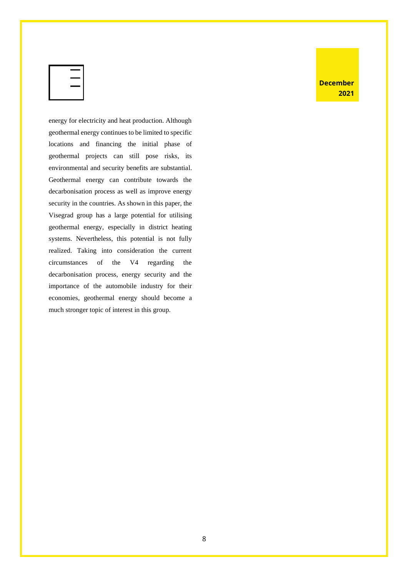energy for electricity and heat production. Although geothermal energy continues to be limited to specific locations and financing the initial phase of geothermal projects can still pose risks, its environmental and security benefits are substantial. Geothermal energy can contribute towards the decarbonisation process as well as improve energy security in the countries. As shown in this paper, the Visegrad group has a large potential for utilising geothermal energy, especially in district heating systems. Nevertheless, this potential is not fully realized. Taking into consideration the current circumstances of the V4 regarding the decarbonisation process, energy security and the importance of the automobile industry for their economies, geothermal energy should become a much stronger topic of interest in this group.